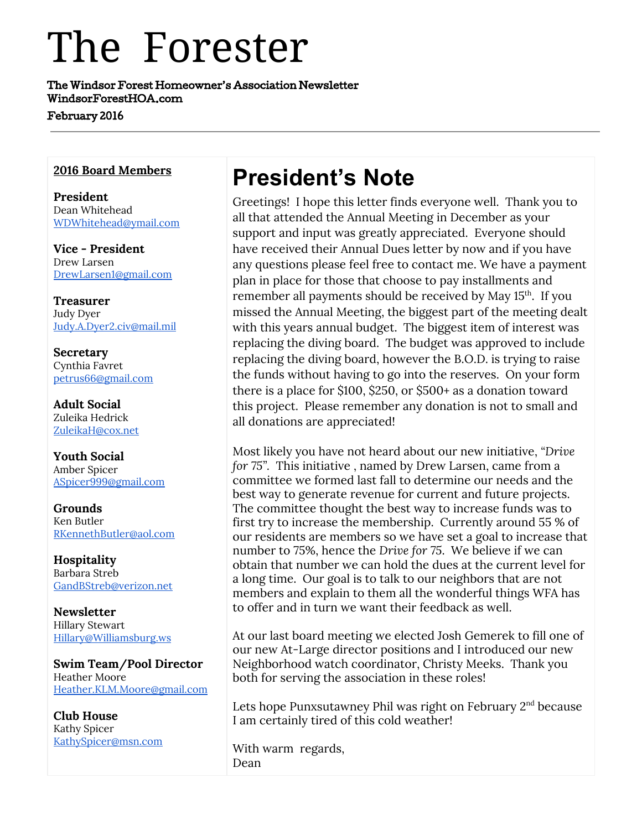# The Forester

The Windsor Forest Homeowner's Association Newsletter WindsorForestHOA.com

February 2016

#### 2016 Board Members

President Dean Whitehead [WDWhitehead@ymail.com](mailto:WDWhitehead@ymail.com)

Vice - President Drew Larsen [DrewLarsen1@gmail.com](mailto:DrewLarsen1@gmail.com)

Treasurer Judy Dyer [Judy.A.Dyer2.civ@mail.mil](mailto:Judy.A.Dyer2.civ@mail.mil)

**Secretary** Cynthia Favret [petrus66@gmail.com](mailto:petrus66@gmail.com)

Adult Social Zuleika Hedrick [ZuleikaH@cox.net](mailto:ZuleikaH@cox.net)

Youth Social Amber Spicer [ASpicer999@gmail.com](mailto:ASpicer999@gmail.com)

Grounds Ken Butler [RKennethButler@aol.com](mailto:RKennethButler@aol.com)

Hospitality Barbara Streb [GandBStreb@verizon.net](mailto:GandBStreb@verizon.net)

Newsletter Hillary Stewart [Hillary@Williamsburg.ws](mailto:Hillary@Williamsburg.ws)

Swim Team/Pool Director Heather Moore [Heather.KLM.Moore@gmail.com](mailto:Heather.KLM.Moore@gmail.com)

Club House Kathy Spicer [KathySpicer@msn.com](mailto:KathySpicer@msn.com)

## **President's Note**

Greetings! I hope this letter finds everyone well. Thank you to all that attended the Annual Meeting in December as your support and input was greatly appreciated. Everyone should have received their Annual Dues letter by now and if you have any questions please feel free to contact me. We have a payment plan in place for those that choose to pay installments and remember all payments should be received by May 15<sup>th</sup>. If you missed the Annual Meeting, the biggest part of the meeting dealt with this years annual budget. The biggest item of interest was replacing the diving board. The budget was approved to include replacing the diving board, however the B.O.D. is trying to raise the funds without having to go into the reserves. On your form there is a place for \$100, \$250, or \$500+ as a donation toward this project. Please remember any donation is not to small and all donations are appreciated!

Most likely you have not heard about our new initiative, "Drive for 75". This initiative , named by Drew Larsen, came from a committee we formed last fall to determine our needs and the best way to generate revenue for current and future projects. The committee thought the best way to increase funds was to first try to increase the membership. Currently around 55 % of our residents are members so we have set a goal to increase that number to 75%, hence the Drive for 75. We believe if we can obtain that number we can hold the dues at the current level for a long time. Our goal is to talk to our neighbors that are not members and explain to them all the wonderful things WFA has to offer and in turn we want their feedback as well.

At our last board meeting we elected Josh Gemerek to fill one of our new At-Large director positions and I introduced our new Neighborhood watch coordinator, Christy Meeks. Thank you both for serving the association in these roles!

Lets hope Punxsutawney Phil was right on February  $2<sup>nd</sup>$  because I am certainly tired of this cold weather!

With warm regards, Dean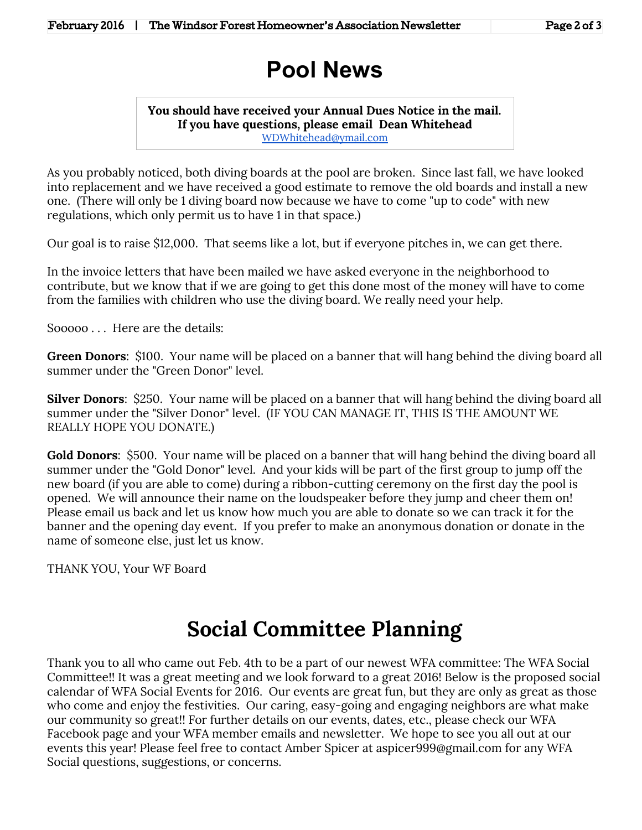## **Pool News**

#### You should have received your Annual Dues Notice in the mail. If you have questions, please email Dean Whitehead [WDWhitehead@ymail.com](mailto:WDWhitehead@ymail.com)

As you probably noticed, both diving boards at the pool are broken. Since last fall, we have looked into replacement and we have received a good estimate to remove the old boards and install a new one. (There will only be 1 diving board now because we have to come "up to code" with new regulations, which only permit us to have 1 in that space.)

Our goal is to raise \$12,000. That seems like a lot, but if everyone pitches in, we can get there.

In the invoice letters that have been mailed we have asked everyone in the neighborhood to contribute, but we know that if we are going to get this done most of the money will have to come from the families with children who use the diving board. We really need your help.

Sooooo . . . Here are the details:

Green Donors: \$100. Your name will be placed on a banner that will hang behind the diving board all summer under the "Green Donor" level.

**Silver Donors:** \$250. Your name will be placed on a banner that will hang behind the diving board all summer under the "Silver Donor" level. (IF YOU CAN MANAGE IT, THIS IS THE AMOUNT WE REALLY HOPE YOU DONATE.)

Gold Donors: \$500. Your name will be placed on a banner that will hang behind the diving board all summer under the "Gold Donor" level. And your kids will be part of the first group to jump off the new board (if you are able to come) during a ribbon-cutting ceremony on the first day the pool is opened. We will announce their name on the loudspeaker before they jump and cheer them on! Please email us back and let us know how much you are able to donate so we can track it for the banner and the opening day event. If you prefer to make an anonymous donation or donate in the name of someone else, just let us know.

THANK YOU, Your WF Board

## Social Committee Planning

Thank you to all who came out Feb. 4th to be a part of our newest WFA committee: The WFA Social Committee!! It was a great meeting and we look forward to a great 2016! Below is the proposed social calendar of WFA Social Events for 2016. Our events are great fun, but they are only as great as those who come and enjoy the festivities. Our caring, easy-going and engaging neighbors are what make our community so great!! For further details on our events, dates, etc., please check our WFA Facebook page and your WFA member emails and newsletter. We hope to see you all out at our events this year! Please feel free to contact Amber Spicer at aspicer999@gmail.com for any WFA Social questions, suggestions, or concerns.